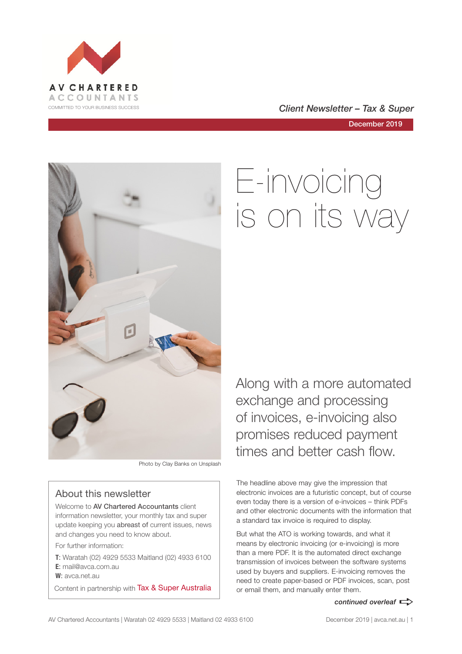

COMMITTED TO YOUR BUSINESS SUCCESS **COMMITTED TO YOUR BUSINESS SUCCESS** 

December 2019



Photo by Clay Banks on Unsplash

#### About this newsletter

Welcome to **AV Chartered Accountants** client information newsletter, your monthly tax and super update keeping you abreast of current issues, news and changes you need to know about.

For further information:

**T**: Waratah (02) 4929 5533 Maitland (02) 4933 6100 **E**: mail@avca.com.au

**W**: avca.net.au

Content in partnership with Tax & Super Australia

# E-invoicing is on its way

Along with a more automated exchange and processing of invoices, e-invoicing also promises reduced payment times and better cash flow.

The headline above may give the impression that electronic invoices are a futuristic concept, but of course even today there is a version of e-invoices – think PDFs and other electronic documents with the information that a standard tax invoice is required to display.

But what the ATO is working towards, and what it means by electronic invoicing (or e-invoicing) is more than a mere PDF. It is the automated direct exchange transmission of invoices between the software systems used by buyers and suppliers. E-invoicing removes the need to create paper-based or PDF invoices, scan, post or email them, and manually enter them.

#### *continued overleaf*  $\Rightarrow$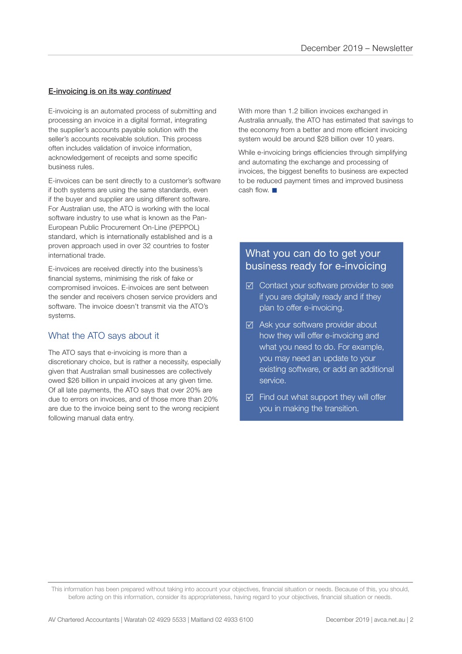#### E-invoicing is on its way *continued*

E-invoicing is an automated process of submitting and processing an invoice in a digital format, integrating the supplier's accounts payable solution with the seller's accounts receivable solution. This process often includes validation of invoice information, acknowledgement of receipts and some specific business rules.

E-invoices can be sent directly to a customer's software if both systems are using the same standards, even if the buyer and supplier are using different software. For Australian use, the ATO is working with the local software industry to use what is known as the Pan-European Public Procurement On-Line (PEPPOL) standard, which is internationally established and is a proven approach used in over 32 countries to foster international trade.

E-invoices are received directly into the business's financial systems, minimising the risk of fake or compromised invoices. E-invoices are sent between the sender and receivers chosen service providers and software. The invoice doesn't transmit via the ATO's systems.

#### What the ATO says about it

The ATO says that e-invoicing is more than a discretionary choice, but is rather a necessity, especially given that Australian small businesses are collectively owed \$26 billion in unpaid invoices at any given time. Of all late payments, the ATO says that over 20% are due to errors on invoices, and of those more than 20% are due to the invoice being sent to the wrong recipient following manual data entry.

With more than 1.2 billion invoices exchanged in Australia annually, the ATO has estimated that savings to the economy from a better and more efficient invoicing system would be around \$28 billion over 10 years.

While e-invoicing brings efficiencies through simplifying and automating the exchange and processing of invoices, the biggest benefits to business are expected to be reduced payment times and improved business cash flow.  $\blacksquare$ 

#### What you can do to get your business ready for e-invoicing

- ⊠ Contact your software provider to see if you are digitally ready and if they plan to offer e-invoicing.
- $\boxtimes$  Ask your software provider about how they will offer e-invoicing and what you need to do. For example, you may need an update to your existing software, or add an additional service.
- $\boxtimes$  Find out what support they will offer you in making the transition.

This information has been prepared without taking into account your objectives, financial situation or needs. Because of this, you should, before acting on this information, consider its appropriateness, having regard to your objectives, financial situation or needs.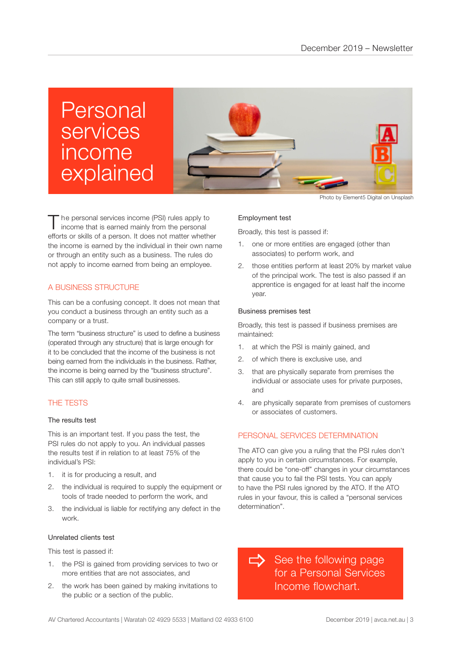# Personal services income explained



The personal services income (PSI) rules apply to income that is earned mainly from the personal efforts or skills of a person. It does not matter whether the income is earned by the individual in their own name or through an entity such as a business. The rules do not apply to income earned from being an employee.

#### A BUSINESS STRUCTURE

This can be a confusing concept. It does not mean that you conduct a business through an entity such as a company or a trust.

The term "business structure" is used to define a business (operated through any structure) that is large enough for it to be concluded that the income of the business is not being earned from the individuals in the business. Rather, the income is being earned by the "business structure". This can still apply to quite small businesses.

#### THE TESTS

#### The results test

This is an important test. If you pass the test, the PSI rules do not apply to you. An individual passes the results test if in relation to at least 75% of the individual's PSI:

- 1. it is for producing a result, and
- 2. the individual is required to supply the equipment or tools of trade needed to perform the work, and
- 3. the individual is liable for rectifying any defect in the work.

#### Unrelated clients test

This test is passed if:

- 1. the PSI is gained from providing services to two or more entities that are not associates, and
- 2. the work has been gained by making invitations to the public or a section of the public.

Photo by Element5 Digital on Unsplash

#### Employment test

Broadly, this test is passed if:

- 1. one or more entities are engaged (other than associates) to perform work, and
- 2. those entities perform at least 20% by market value of the principal work. The test is also passed if an apprentice is engaged for at least half the income year.

#### Business premises test

Broadly, this test is passed if business premises are maintained:

- 1. at which the PSI is mainly gained, and
- 2. of which there is exclusive use, and
- 3. that are physically separate from premises the individual or associate uses for private purposes, and
- 4. are physically separate from premises of customers or associates of customers.

#### PERSONAL SERVICES DETERMINATION

The ATO can give you a ruling that the PSI rules don't apply to you in certain circumstances. For example, there could be "one-off" changes in your circumstances that cause you to fail the PSI tests. You can apply to have the PSI rules ignored by the ATO. If the ATO rules in your favour, this is called a "personal services determination".

See the following page for a Personal Services Income flowchart.  $\Rightarrow$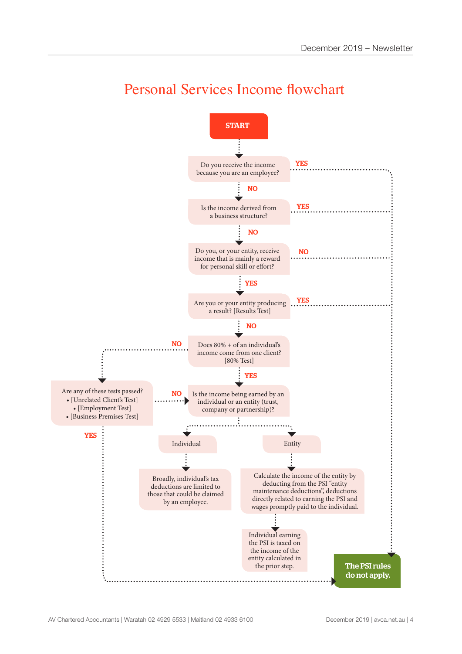

### Personal Services Income flowchart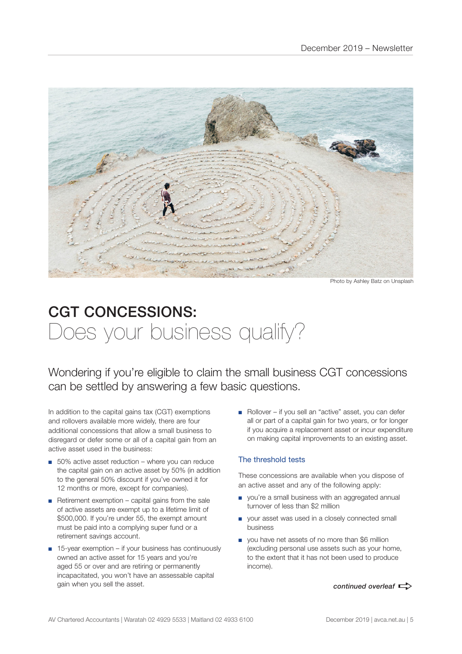

Photo by Ashley Batz on Unsplash

## CGT CONCESSIONS: Does your business qualify?

Wondering if you're eligible to claim the small business CGT concessions can be settled by answering a few basic questions.

In addition to the capital gains tax (CGT) exemptions and rollovers available more widely, there are four additional concessions that allow a small business to disregard or defer some or all of a capital gain from an active asset used in the business:

- 50% active asset reduction where you can reduce the capital gain on an active asset by 50% (in addition to the general 50% discount if you've owned it for 12 months or more, except for companies).
- Retirement exemption capital gains from the sale of active assets are exempt up to a lifetime limit of \$500,000. If you're under 55, the exempt amount must be paid into a complying super fund or a retirement savings account.
- 15-year exemption if your business has continuously owned an active asset for 15 years and you're aged 55 or over and are retiring or permanently incapacitated, you won't have an assessable capital gain when you sell the asset.

■ Rollover – if you sell an "active" asset, you can defer all or part of a capital gain for two years, or for longer if you acquire a replacement asset or incur expenditure on making capital improvements to an existing asset.

#### The threshold tests

These concessions are available when you dispose of an active asset and any of the following apply:

- you're a small business with an aggregated annual turnover of less than \$2 million
- your asset was used in a closely connected small business
- you have net assets of no more than \$6 million (excluding personal use assets such as your home, to the extent that it has not been used to produce income).

*continued overleaf*  $\Rightarrow$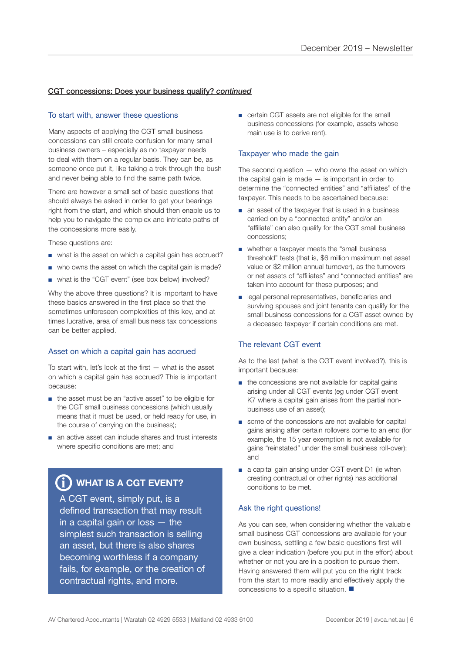#### CGT concessions: Does your business qualify? *continued*

#### To start with, answer these questions

Many aspects of applying the CGT small business concessions can still create confusion for many small business owners – especially as no taxpayer needs to deal with them on a regular basis. They can be, as someone once put it, like taking a trek through the bush and never being able to find the same path twice.

There are however a small set of basic questions that should always be asked in order to get your bearings right from the start, and which should then enable us to help you to navigate the complex and intricate paths of the concessions more easily.

These questions are:

- what is the asset on which a capital gain has accrued?
- who owns the asset on which the capital gain is made?
- what is the "CGT event" (see box below) involved?

Why the above three questions? It is important to have these basics answered in the first place so that the sometimes unforeseen complexities of this key, and at times lucrative, area of small business tax concessions can be better applied.

#### Asset on which a capital gain has accrued

To start with, let's look at the first — what is the asset on which a capital gain has accrued? This is important because:

- the asset must be an "active asset" to be eligible for the CGT small business concessions (which usually means that it must be used, or held ready for use, in the course of carrying on the business);
- an active asset can include shares and trust interests where specific conditions are met; and

### $\bf \hat{j}$ ) WHAT IS A CGT EVENT?

A CGT event, simply put, is a defined transaction that may result in a capital gain or loss — the simplest such transaction is selling an asset, but there is also shares becoming worthless if a company fails, for example, or the creation of contractual rights, and more.

■ certain CGT assets are not eligible for the small business concessions (for example, assets whose main use is to derive rent).

#### Taxpayer who made the gain

The second question  $-$  who owns the asset on which the capital gain is made  $-$  is important in order to determine the "connected entities" and "affiliates" of the taxpayer. This needs to be ascertained because:

- an asset of the taxpayer that is used in a business carried on by a "connected entity" and/or an "affiliate" can also qualify for the CGT small business concessions;
- whether a taxpayer meets the "small business threshold" tests (that is, \$6 million maximum net asset value or \$2 million annual turnover), as the turnovers or net assets of "affiliates" and "connected entities" are taken into account for these purposes; and
- legal personal representatives, beneficiaries and surviving spouses and joint tenants can qualify for the small business concessions for a CGT asset owned by a deceased taxpayer if certain conditions are met.

#### The relevant CGT event

As to the last (what is the CGT event involved?), this is important because:

- the concessions are not available for capital gains arising under all CGT events (eg under CGT event K7 where a capital gain arises from the partial nonbusiness use of an asset);
- some of the concessions are not available for capital gains arising after certain rollovers come to an end (for example, the 15 year exemption is not available for gains "reinstated" under the small business roll-over); and
- a capital gain arising under CGT event D1 (ie when creating contractual or other rights) has additional conditions to be met.

#### Ask the right questions!

As you can see, when considering whether the valuable small business CGT concessions are available for your own business, settling a few basic questions first will give a clear indication (before you put in the effort) about whether or not you are in a position to pursue them. Having answered them will put you on the right track from the start to more readily and effectively apply the concessions to a specific situation.  $\blacksquare$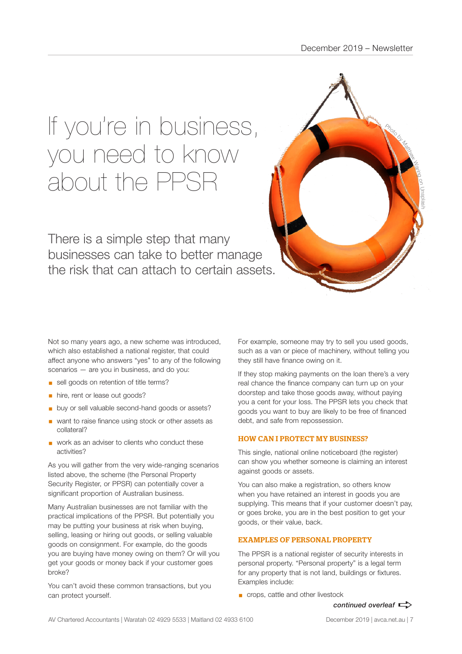# If you're in business, you need to know about the PPSR

There is a simple step that many businesses can take to better manage the risk that can attach to certain assets.



Not so many years ago, a new scheme was introduced, which also established a national register, that could affect anyone who answers "yes" to any of the following scenarios — are you in business, and do you:

- sell goods on retention of title terms?
- **•** hire, rent or lease out goods?
- buy or sell valuable second-hand goods or assets?
- want to raise finance using stock or other assets as collateral?
- work as an adviser to clients who conduct these activities?

As you will gather from the very wide-ranging scenarios listed above, the scheme (the Personal Property Security Register, or PPSR) can potentially cover a significant proportion of Australian business.

Many Australian businesses are not familiar with the practical implications of the PPSR. But potentially you may be putting your business at risk when buying, selling, leasing or hiring out goods, or selling valuable goods on consignment. For example, do the goods you are buying have money owing on them? Or will you get your goods or money back if your customer goes broke?

You can't avoid these common transactions, but you can protect yourself.

For example, someone may try to sell you used goods, such as a van or piece of machinery, without telling you they still have finance owing on it.

If they stop making payments on the loan there's a very real chance the finance company can turn up on your doorstep and take those goods away, without paying you a cent for your loss. The PPSR lets you check that goods you want to buy are likely to be free of financed debt, and safe from repossession.

#### HOW CAN I PROTECT MY BUSINESS?

This single, national online noticeboard (the register) can show you whether someone is claiming an interest against goods or assets.

You can also make a registration, so others know when you have retained an interest in goods you are supplying. This means that if your customer doesn't pay, or goes broke, you are in the best position to get your goods, or their value, back.

#### EXAMPLES OF PERSONAL PROPERTY

The PPSR is a national register of security interests in personal property. "Personal property" is a legal term for any property that is not land, buildings or fixtures. Examples include:

■ crops, cattle and other livestock

#### *continued overleaf*  $\Rightarrow$